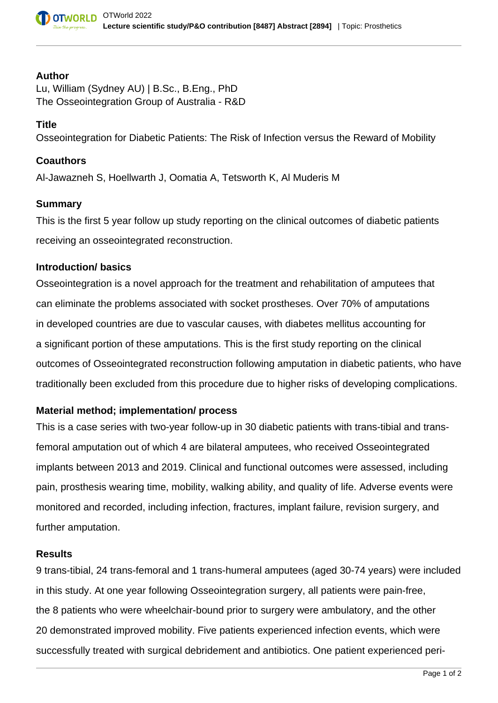#### **Author**

Lu, William (Sydney AU) | B.Sc., B.Eng., PhD The Osseointegration Group of Australia - R&D

### **Title**

Osseointegration for Diabetic Patients: The Risk of Infection versus the Reward of Mobility

### **Coauthors**

Al-Jawazneh S, Hoellwarth J, Oomatia A, Tetsworth K, Al Muderis M

### **Summary**

This is the first 5 year follow up study reporting on the clinical outcomes of diabetic patients receiving an osseointegrated reconstruction.

### **Introduction/ basics**

Osseointegration is a novel approach for the treatment and rehabilitation of amputees that can eliminate the problems associated with socket prostheses. Over 70% of amputations in developed countries are due to vascular causes, with diabetes mellitus accounting for a significant portion of these amputations. This is the first study reporting on the clinical outcomes of Osseointegrated reconstruction following amputation in diabetic patients, who have traditionally been excluded from this procedure due to higher risks of developing complications.

# **Material method; implementation/ process**

This is a case series with two-year follow-up in 30 diabetic patients with trans-tibial and transfemoral amputation out of which 4 are bilateral amputees, who received Osseointegrated implants between 2013 and 2019. Clinical and functional outcomes were assessed, including pain, prosthesis wearing time, mobility, walking ability, and quality of life. Adverse events were monitored and recorded, including infection, fractures, implant failure, revision surgery, and further amputation.

### **Results**

9 trans-tibial, 24 trans-femoral and 1 trans-humeral amputees (aged 30-74 years) were included in this study. At one year following Osseointegration surgery, all patients were pain-free, the 8 patients who were wheelchair-bound prior to surgery were ambulatory, and the other 20 demonstrated improved mobility. Five patients experienced infection events, which were successfully treated with surgical debridement and antibiotics. One patient experienced peri